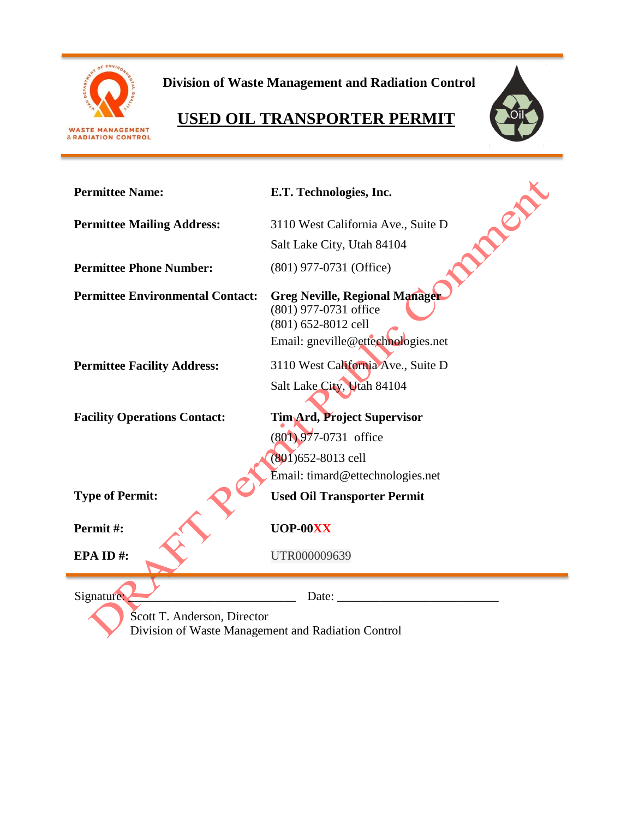

**Division of Waste Management and Radiation Control**

# **USED OIL TRANSPORTER PERMIT**



| <b>Permittee Name:</b>                                                            | E.T. Technologies, Inc.                                                                                                     |  |
|-----------------------------------------------------------------------------------|-----------------------------------------------------------------------------------------------------------------------------|--|
| <b>Permittee Mailing Address:</b>                                                 | R<br>3110 West California Ave., Suite D                                                                                     |  |
|                                                                                   | Salt Lake City, Utah 84104                                                                                                  |  |
| <b>Permittee Phone Number:</b>                                                    | (801) 977-0731 (Office)                                                                                                     |  |
| <b>Permittee Environmental Contact:</b>                                           | <b>Greg Neville, Regional Manager</b><br>(801) 977-0731 office<br>(801) 652-8012 cell<br>Email: gneville@ettechnologies.net |  |
| <b>Permittee Facility Address:</b>                                                | 3110 West California Ave., Suite D                                                                                          |  |
|                                                                                   | Salt Lake City, Utah 84104                                                                                                  |  |
| <b>Facility Operations Contact:</b>                                               | Tim Ard, Project Supervisor                                                                                                 |  |
|                                                                                   | (801) 977-0731 office                                                                                                       |  |
|                                                                                   | (801) 652-8013 cell                                                                                                         |  |
|                                                                                   | Email: timard@ettechnologies.net                                                                                            |  |
| <b>Type of Permit:</b>                                                            | <b>Used Oil Transporter Permit</b>                                                                                          |  |
| Permit#:                                                                          | UOP-00XX                                                                                                                    |  |
| EPA ID#:                                                                          | UTR000009639                                                                                                                |  |
| Signature:                                                                        | Date:                                                                                                                       |  |
| Scott T. Anderson, Director<br>Division of Waste Management and Radiation Control |                                                                                                                             |  |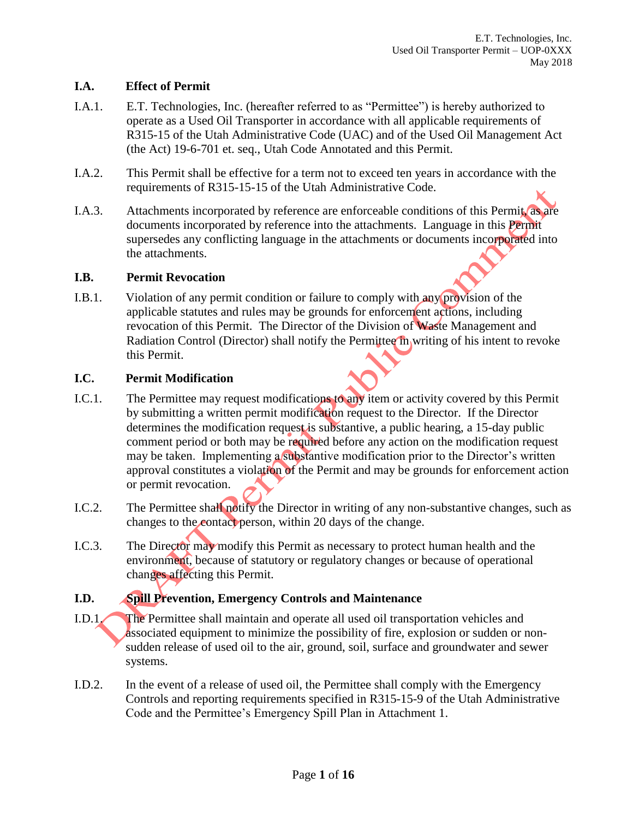## **I.A. Effect of Permit**

- I.A.1. E.T. Technologies, Inc. (hereafter referred to as "Permittee") is hereby authorized to operate as a Used Oil Transporter in accordance with all applicable requirements of R315-15 of the Utah Administrative Code (UAC) and of the Used Oil Management Act (the Act) 19-6-701 et. seq., Utah Code Annotated and this Permit.
- I.A.2. This Permit shall be effective for a term not to exceed ten years in accordance with the requirements of R315-15-15 of the Utah Administrative Code.
- I.A.3. Attachments incorporated by reference are enforceable conditions of this Permit, as are documents incorporated by reference into the attachments. Language in this Permit supersedes any conflicting language in the attachments or documents incorporated into the attachments.

#### **I.B. Permit Revocation**

I.B.1. Violation of any permit condition or failure to comply with any provision of the applicable statutes and rules may be grounds for enforcement actions, including revocation of this Permit. The Director of the Division of Waste Management and Radiation Control (Director) shall notify the Permittee in writing of his intent to revoke this Permit.

#### **I.C. Permit Modification**

- I.C.1. The Permittee may request modifications to any item or activity covered by this Permit by submitting a written permit modification request to the Director. If the Director determines the modification request is substantive, a public hearing, a 15-day public comment period or both may be required before any action on the modification request may be taken. Implementing a substantive modification prior to the Director's written approval constitutes a violation of the Permit and may be grounds for enforcement action or permit revocation.
- I.C.2. The Permittee shall notify the Director in writing of any non-substantive changes, such as changes to the contact person, within 20 days of the change.
- I.C.3. The Director may modify this Permit as necessary to protect human health and the environment, because of statutory or regulatory changes or because of operational changes affecting this Permit.

## **I.D. Spill Prevention, Emergency Controls and Maintenance**

- I.D.1. The Permittee shall maintain and operate all used oil transportation vehicles and associated equipment to minimize the possibility of fire, explosion or sudden or nonsudden release of used oil to the air, ground, soil, surface and groundwater and sewer systems.
- I.D.2. In the event of a release of used oil, the Permittee shall comply with the Emergency Controls and reporting requirements specified in R315-15-9 of the Utah Administrative Code and the Permittee's Emergency Spill Plan in Attachment 1.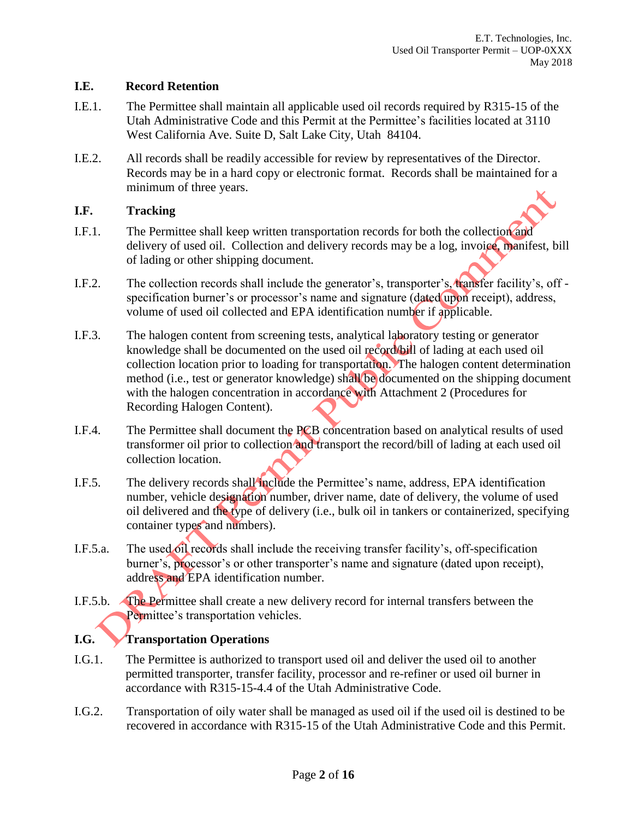#### **I.E. Record Retention**

- I.E.1. The Permittee shall maintain all applicable used oil records required by R315-15 of the Utah Administrative Code and this Permit at the Permittee's facilities located at 3110 West California Ave. Suite D, Salt Lake City, Utah 84104.
- I.E.2. All records shall be readily accessible for review by representatives of the Director. Records may be in a hard copy or electronic format. Records shall be maintained for a minimum of three years.

## **I.F. Tracking**

- I.F.1. The Permittee shall keep written transportation records for both the collection and delivery of used oil. Collection and delivery records may be a log, invoice, manifest, bill of lading or other shipping document.
- I.F.2. The collection records shall include the generator's, transporter's, transfer facility's, off specification burner's or processor's name and signature (dated upon receipt), address, volume of used oil collected and EPA identification number if applicable.
- I.F.3. The halogen content from screening tests, analytical laboratory testing or generator knowledge shall be documented on the used oil record/bill of lading at each used oil collection location prior to loading for transportation. The halogen content determination method (i.e., test or generator knowledge) shall be documented on the shipping document with the halogen concentration in accordance with Attachment 2 (Procedures for Recording Halogen Content).
- I.F.4. The Permittee shall document the PCB concentration based on analytical results of used transformer oil prior to collection and transport the record/bill of lading at each used oil collection location.
- I.F.5. The delivery records shall include the Permittee's name, address, EPA identification number, vehicle designation number, driver name, date of delivery, the volume of used oil delivered and the type of delivery (i.e., bulk oil in tankers or containerized, specifying container types and numbers).
- I.F.5.a. The used oil records shall include the receiving transfer facility's, off-specification burner's, processor's or other transporter's name and signature (dated upon receipt), address and EPA identification number.
- I.F.5.b. The Permittee shall create a new delivery record for internal transfers between the Permittee's transportation vehicles.

## **I.G. Transportation Operations**

- I.G.1. The Permittee is authorized to transport used oil and deliver the used oil to another permitted transporter, transfer facility, processor and re-refiner or used oil burner in accordance with R315-15-4.4 of the Utah Administrative Code.
- I.G.2. Transportation of oily water shall be managed as used oil if the used oil is destined to be recovered in accordance with R315-15 of the Utah Administrative Code and this Permit.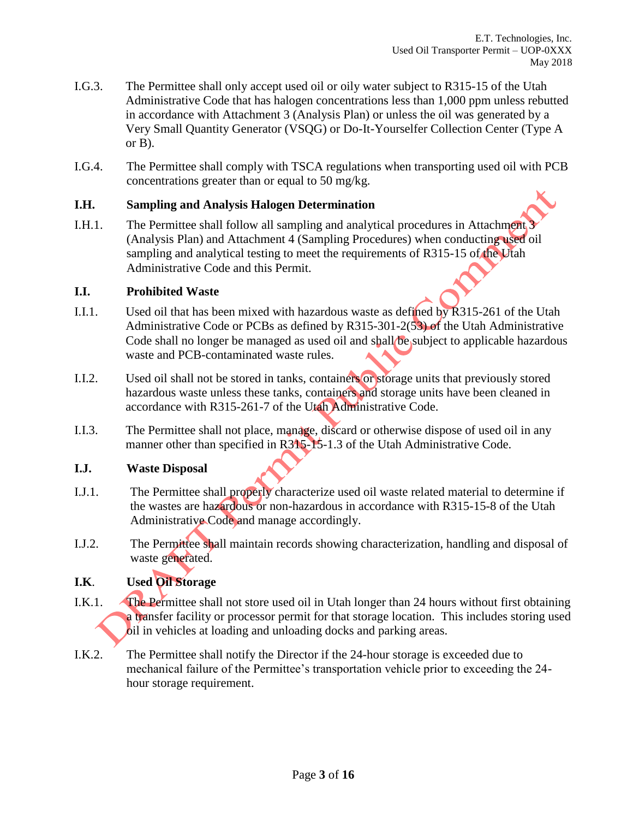- I.G.3. The Permittee shall only accept used oil or oily water subject to R315-15 of the Utah Administrative Code that has halogen concentrations less than 1,000 ppm unless rebutted in accordance with Attachment 3 (Analysis Plan) or unless the oil was generated by a Very Small Quantity Generator (VSQG) or Do-It-Yourselfer Collection Center (Type A or B).
- I.G.4. The Permittee shall comply with TSCA regulations when transporting used oil with PCB concentrations greater than or equal to 50 mg/kg.

#### **I.H. Sampling and Analysis Halogen Determination**

I.H.1. The Permittee shall follow all sampling and analytical procedures in Attachment 3 (Analysis Plan) and Attachment 4 (Sampling Procedures) when conducting used oil sampling and analytical testing to meet the requirements of R315-15 of the Utah Administrative Code and this Permit.

#### **I.I. Prohibited Waste**

- I.I.1. Used oil that has been mixed with hazardous waste as defined by R315-261 of the Utah Administrative Code or PCBs as defined by R315-301-2(53) of the Utah Administrative Code shall no longer be managed as used oil and shall be subject to applicable hazardous waste and PCB-contaminated waste rules.
- I.I.2. Used oil shall not be stored in tanks, containers or storage units that previously stored hazardous waste unless these tanks, containers and storage units have been cleaned in accordance with R315-261-7 of the Utah Administrative Code.
- I.I.3. The Permittee shall not place, manage, discard or otherwise dispose of used oil in any manner other than specified in R315-15-1.3 of the Utah Administrative Code.

## **I.J. Waste Disposal**

- I.J.1. The Permittee shall properly characterize used oil waste related material to determine if the wastes are hazardous or non-hazardous in accordance with R315-15-8 of the Utah Administrative Code and manage accordingly.
- I.J.2. The Permittee shall maintain records showing characterization, handling and disposal of waste generated.

## **I.K**. **Used Oil Storage**

- I.K.1. The Permittee shall not store used oil in Utah longer than 24 hours without first obtaining a transfer facility or processor permit for that storage location. This includes storing used oil in vehicles at loading and unloading docks and parking areas.
- I.K.2. The Permittee shall notify the Director if the 24-hour storage is exceeded due to mechanical failure of the Permittee's transportation vehicle prior to exceeding the 24 hour storage requirement.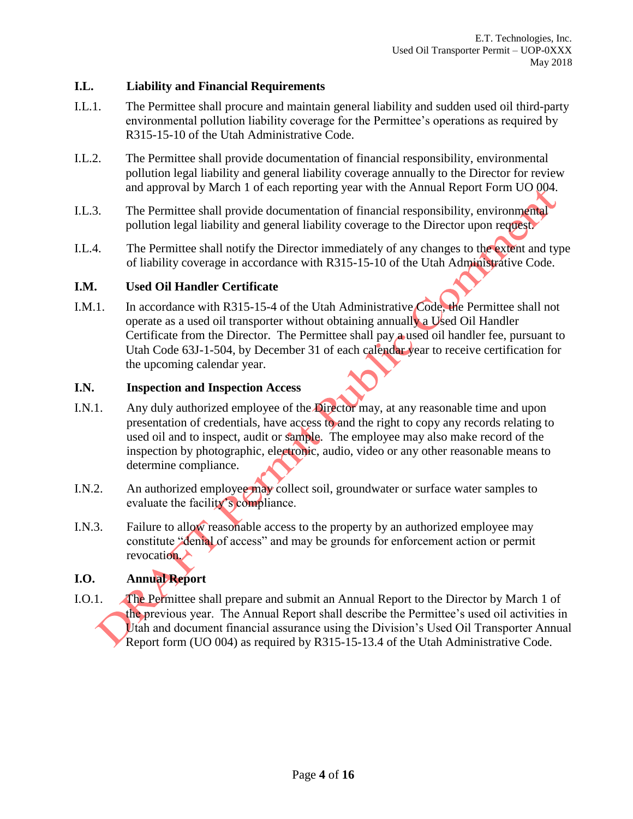#### **I.L. Liability and Financial Requirements**

- I.L.1. The Permittee shall procure and maintain general liability and sudden used oil third-party environmental pollution liability coverage for the Permittee's operations as required by R315-15-10 of the Utah Administrative Code.
- I.L.2. The Permittee shall provide documentation of financial responsibility, environmental pollution legal liability and general liability coverage annually to the Director for review and approval by March 1 of each reporting year with the Annual Report Form UO 004.
- I.L.3. The Permittee shall provide documentation of financial responsibility, environmental pollution legal liability and general liability coverage to the Director upon request.
- I.L.4. The Permittee shall notify the Director immediately of any changes to the extent and type of liability coverage in accordance with R315-15-10 of the Utah Administrative Code.

#### **I.M. Used Oil Handler Certificate**

I.M.1. In accordance with R315-15-4 of the Utah Administrative Code, the Permittee shall not operate as a used oil transporter without obtaining annually a Used Oil Handler Certificate from the Director. The Permittee shall pay a used oil handler fee, pursuant to Utah Code 63J-1-504, by December 31 of each calendar year to receive certification for the upcoming calendar year.

#### **I.N. Inspection and Inspection Access**

- I.N.1. Any duly authorized employee of the Director may, at any reasonable time and upon presentation of credentials, have access to and the right to copy any records relating to used oil and to inspect, audit or sample. The employee may also make record of the inspection by photographic, electronic, audio, video or any other reasonable means to determine compliance.
- I.N.2. An authorized employee may collect soil, groundwater or surface water samples to evaluate the facility's compliance.
- I.N.3. Failure to allow reasonable access to the property by an authorized employee may constitute "denial of access" and may be grounds for enforcement action or permit revocation.

## **I.O. Annual Report**

I.O.1. The Permittee shall prepare and submit an Annual Report to the Director by March 1 of the previous year. The Annual Report shall describe the Permittee's used oil activities in Utah and document financial assurance using the Division's Used Oil Transporter Annual Report form (UO 004) as required by R315-15-13.4 of the Utah Administrative Code.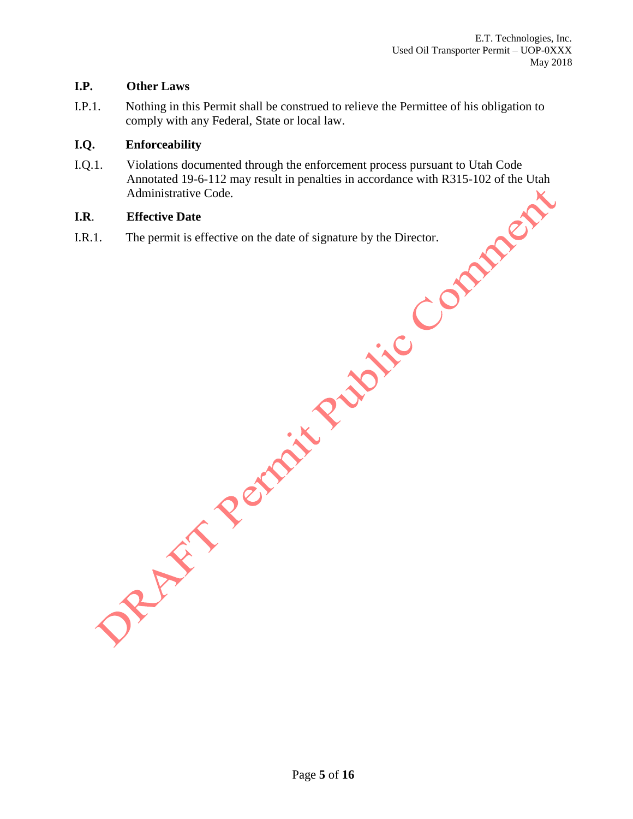## **I.P. Other Laws**

I.P.1. Nothing in this Permit shall be construed to relieve the Permittee of his obligation to comply with any Federal, State or local law.

#### **I.Q. Enforceability**

I.Q.1. Violations documented through the enforcement process pursuant to Utah Code Annotated 19-6-112 may result in penalties in accordance with R315-102 of the Utah Administrative Code.

## **I.R**. **Effective Date**

I.R.1. The permit is effective on the date of signature by the Director.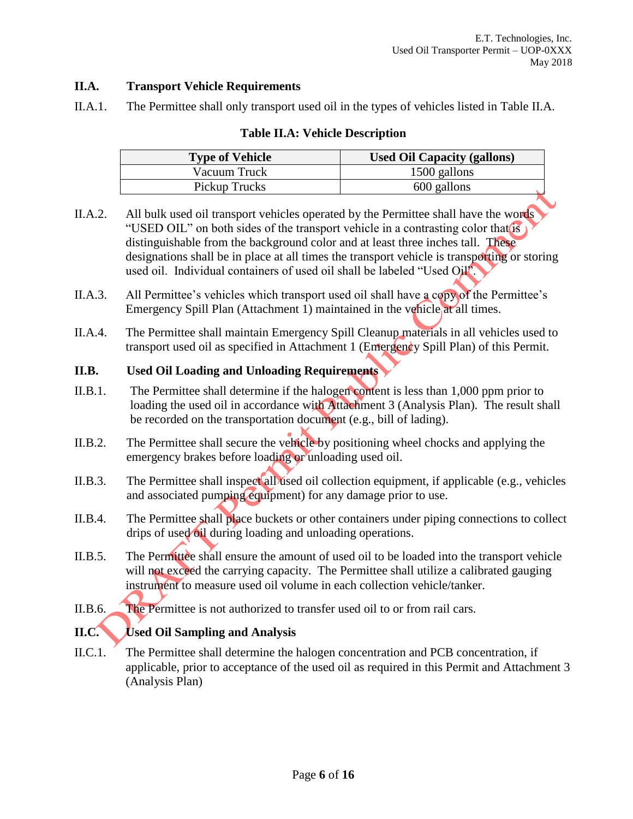## **II.A. Transport Vehicle Requirements**

II.A.1. The Permittee shall only transport used oil in the types of vehicles listed in Table II.A.

#### **Table II.A: Vehicle Description**

| <b>Type of Vehicle</b> | <b>Used Oil Capacity (gallons)</b> |
|------------------------|------------------------------------|
| Vacuum Truck           | 1500 gallons                       |
| Pickup Trucks          | 600 gallons                        |

- II.A.2. All bulk used oil transport vehicles operated by the Permittee shall have the words "USED OIL" on both sides of the transport vehicle in a contrasting color that is distinguishable from the background color and at least three inches tall. These designations shall be in place at all times the transport vehicle is transporting or storing used oil. Individual containers of used oil shall be labeled "Used Oil".
- II.A.3. All Permittee's vehicles which transport used oil shall have a copy of the Permittee's Emergency Spill Plan (Attachment 1) maintained in the vehicle at all times.
- II.A.4. The Permittee shall maintain Emergency Spill Cleanup materials in all vehicles used to transport used oil as specified in Attachment 1 (Emergency Spill Plan) of this Permit.

#### **II.B. Used Oil Loading and Unloading Requirements**

- II.B.1. The Permittee shall determine if the halogen content is less than 1,000 ppm prior to loading the used oil in accordance with Attachment 3 (Analysis Plan). The result shall be recorded on the transportation document (e.g., bill of lading).
- II.B.2. The Permittee shall secure the vehicle by positioning wheel chocks and applying the emergency brakes before loading or unloading used oil.
- II.B.3. The Permittee shall inspect all used oil collection equipment, if applicable (e.g., vehicles and associated pumping equipment) for any damage prior to use.
- II.B.4. The Permittee shall place buckets or other containers under piping connections to collect drips of used oil during loading and unloading operations.
- II.B.5. The Permittee shall ensure the amount of used oil to be loaded into the transport vehicle will not exceed the carrying capacity. The Permittee shall utilize a calibrated gauging instrument to measure used oil volume in each collection vehicle/tanker.
- II.B.6. The Permittee is not authorized to transfer used oil to or from rail cars.

## **II.C. Used Oil Sampling and Analysis**

II.C.1. The Permittee shall determine the halogen concentration and PCB concentration, if applicable, prior to acceptance of the used oil as required in this Permit and Attachment 3 (Analysis Plan)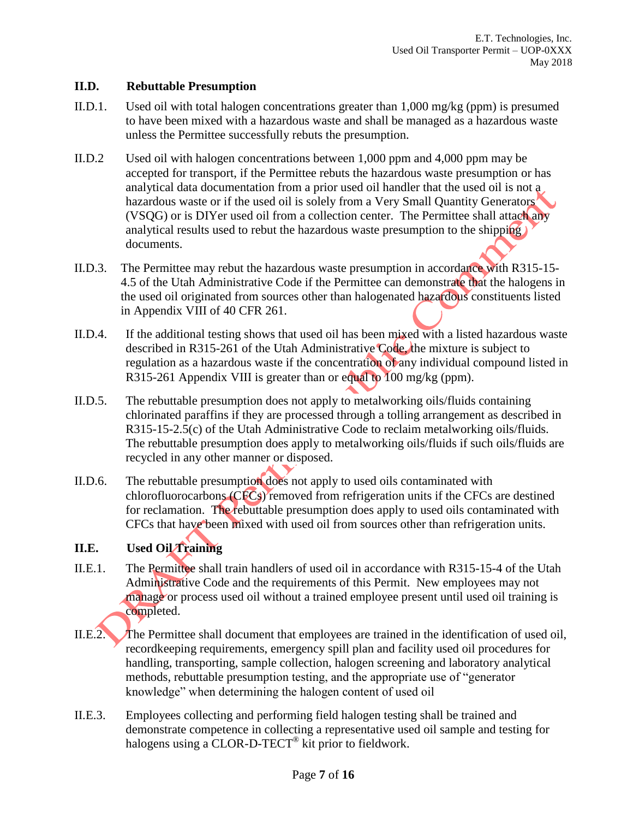## **II.D. Rebuttable Presumption**

- II.D.1. Used oil with total halogen concentrations greater than 1,000 mg/kg (ppm) is presumed to have been mixed with a hazardous waste and shall be managed as a hazardous waste unless the Permittee successfully rebuts the presumption.
- II.D.2 Used oil with halogen concentrations between 1,000 ppm and 4,000 ppm may be accepted for transport, if the Permittee rebuts the hazardous waste presumption or has analytical data documentation from a prior used oil handler that the used oil is not a hazardous waste or if the used oil is solely from a Very Small Quantity Generators' (VSQG) or is DIYer used oil from a collection center. The Permittee shall attach any analytical results used to rebut the hazardous waste presumption to the shipping documents.
- II.D.3. The Permittee may rebut the hazardous waste presumption in accordance with R315-15- 4.5 of the Utah Administrative Code if the Permittee can demonstrate that the halogens in the used oil originated from sources other than halogenated hazardous constituents listed in Appendix VIII of 40 CFR 261.
- II.D.4. If the additional testing shows that used oil has been mixed with a listed hazardous waste described in R315-261 of the Utah Administrative Code, the mixture is subject to regulation as a hazardous waste if the concentration of any individual compound listed in R315-261 Appendix VIII is greater than or equal to 100 mg/kg (ppm).
- II.D.5. The rebuttable presumption does not apply to metalworking oils/fluids containing chlorinated paraffins if they are processed through a tolling arrangement as described in R315-15-2.5(c) of the Utah Administrative Code to reclaim metalworking oils/fluids. The rebuttable presumption does apply to metalworking oils/fluids if such oils/fluids are recycled in any other manner or disposed.
- II.D.6. The rebuttable presumption does not apply to used oils contaminated with chlorofluorocarbons (CFCs) removed from refrigeration units if the CFCs are destined for reclamation. The rebuttable presumption does apply to used oils contaminated with CFCs that have been mixed with used oil from sources other than refrigeration units.

## **II.E. Used Oil Training**

- II.E.1. The Permittee shall train handlers of used oil in accordance with R315-15-4 of the Utah Administrative Code and the requirements of this Permit. New employees may not manage or process used oil without a trained employee present until used oil training is completed.
- II.E.2. The Permittee shall document that employees are trained in the identification of used oil, recordkeeping requirements, emergency spill plan and facility used oil procedures for handling, transporting, sample collection, halogen screening and laboratory analytical methods, rebuttable presumption testing, and the appropriate use of "generator knowledge" when determining the halogen content of used oil
- II.E.3. Employees collecting and performing field halogen testing shall be trained and demonstrate competence in collecting a representative used oil sample and testing for halogens using a CLOR-D-TECT<sup>®</sup> kit prior to fieldwork.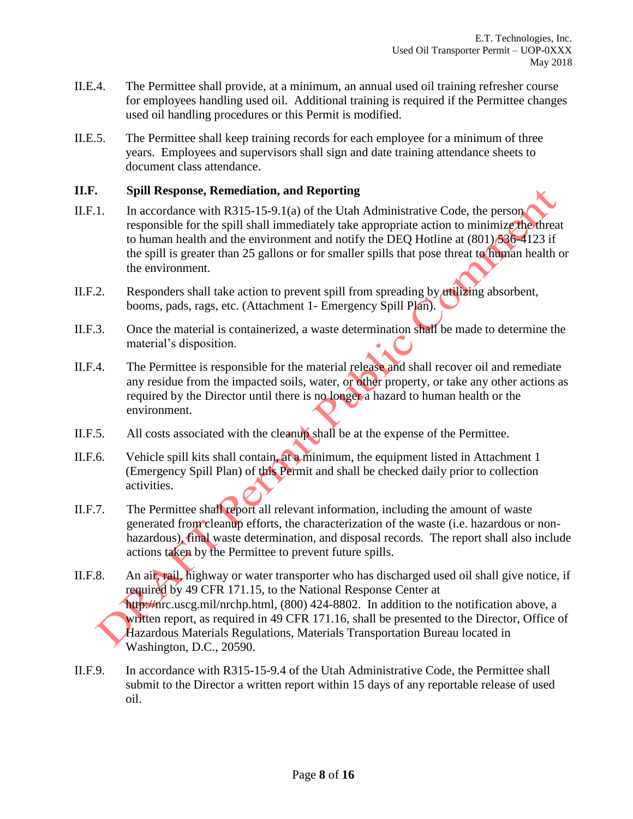- II.E.4. The Permittee shall provide, at a minimum, an annual used oil training refresher course for employees handling used oil. Additional training is required if the Permittee changes used oil handling procedures or this Permit is modified.
- II.E.5. The Permittee shall keep training records for each employee for a minimum of three years. Employees and supervisors shall sign and date training attendance sheets to document class attendance.

#### **II.F. Spill Response, Remediation, and Reporting**

- II.F.1. In accordance with R315-15-9.1(a) of the Utah Administrative Code, the person responsible for the spill shall immediately take appropriate action to minimize the threat to human health and the environment and notify the DEQ Hotline at  $(801)$  536-4123 if the spill is greater than 25 gallons or for smaller spills that pose threat to human health or the environment.
- II.F.2. Responders shall take action to prevent spill from spreading by utilizing absorbent, booms, pads, rags, etc. (Attachment 1- Emergency Spill Plan).
- II.F.3. Once the material is containerized, a waste determination shall be made to determine the material's disposition.
- II.F.4. The Permittee is responsible for the material release and shall recover oil and remediate any residue from the impacted soils, water, or other property, or take any other actions as required by the Director until there is no longer a hazard to human health or the environment.
- II.F.5. All costs associated with the cleanup shall be at the expense of the Permittee.
- II.F.6. Vehicle spill kits shall contain, at a minimum, the equipment listed in Attachment 1 (Emergency Spill Plan) of this Permit and shall be checked daily prior to collection activities.
- II.F.7. The Permittee shall report all relevant information, including the amount of waste generated from cleanup efforts, the characterization of the waste (i.e. hazardous or nonhazardous), final waste determination, and disposal records. The report shall also include actions taken by the Permittee to prevent future spills.
- II.F.8. An air, rail, highway or water transporter who has discharged used oil shall give notice, if required by 49 CFR 171.15, to the National Response Center at http://nrc.uscg.mil/nrchp.html, (800) 424-8802. In addition to the notification above, a written report, as required in 49 CFR 171.16, shall be presented to the Director, Office of Hazardous Materials Regulations, Materials Transportation Bureau located in Washington, D.C., 20590.
- II.F.9. In accordance with R315-15-9.4 of the Utah Administrative Code, the Permittee shall submit to the Director a written report within 15 days of any reportable release of used oil.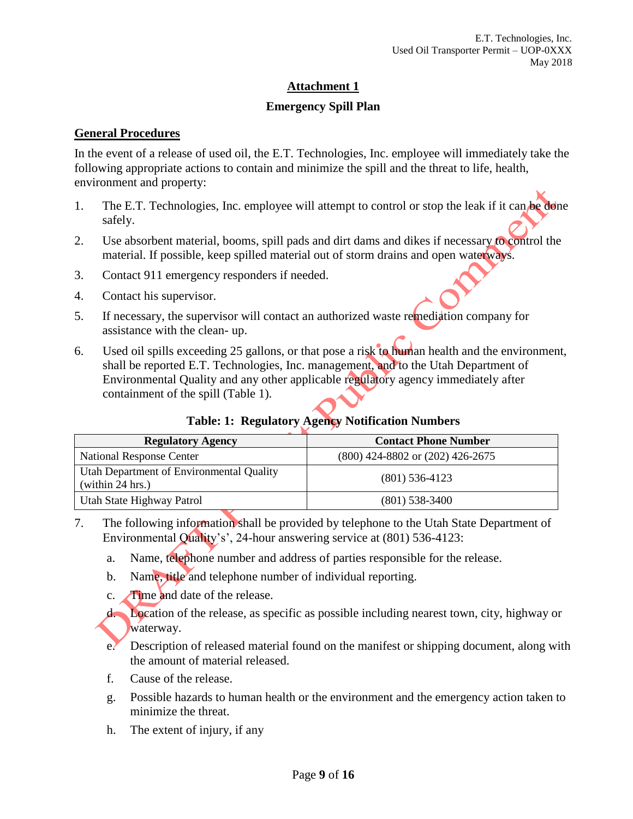## **Emergency Spill Plan**

## **General Procedures**

In the event of a release of used oil, the E.T. Technologies, Inc. employee will immediately take the following appropriate actions to contain and minimize the spill and the threat to life, health, environment and property:

- 1. The E.T. Technologies, Inc. employee will attempt to control or stop the leak if it can be done safely.
- 2. Use absorbent material, booms, spill pads and dirt dams and dikes if necessary to control the material. If possible, keep spilled material out of storm drains and open waterways.
- 3. Contact 911 emergency responders if needed.
- 4. Contact his supervisor.
- 5. If necessary, the supervisor will contact an authorized waste remediation company for assistance with the clean- up.
- 6. Used oil spills exceeding 25 gallons, or that pose a risk to human health and the environment, shall be reported E.T. Technologies, Inc. management, and to the Utah Department of Environmental Quality and any other applicable regulatory agency immediately after containment of the spill (Table 1).

## **Table: 1: Regulatory Agency Notification Numbers**

| <b>Regulatory Agency</b>                                     | <b>Contact Phone Number</b>          |
|--------------------------------------------------------------|--------------------------------------|
| <b>National Response Center</b>                              | $(800)$ 424-8802 or $(202)$ 426-2675 |
| Utah Department of Environmental Quality<br>(within 24 hrs.) | $(801)$ 536-4123                     |
| Utah State Highway Patrol                                    | $(801)$ 538-3400                     |

- 7. The following information shall be provided by telephone to the Utah State Department of Environmental Quality's', 24-hour answering service at (801) 536-4123:
	- a. Name, telephone number and address of parties responsible for the release.
	- b. Name, title and telephone number of individual reporting.
	- c. Time and date of the release.
	- d. Location of the release, as specific as possible including nearest town, city, highway or waterway.
	- e. Description of released material found on the manifest or shipping document, along with the amount of material released.
	- f. Cause of the release.
	- g. Possible hazards to human health or the environment and the emergency action taken to minimize the threat.
	- h. The extent of injury, if any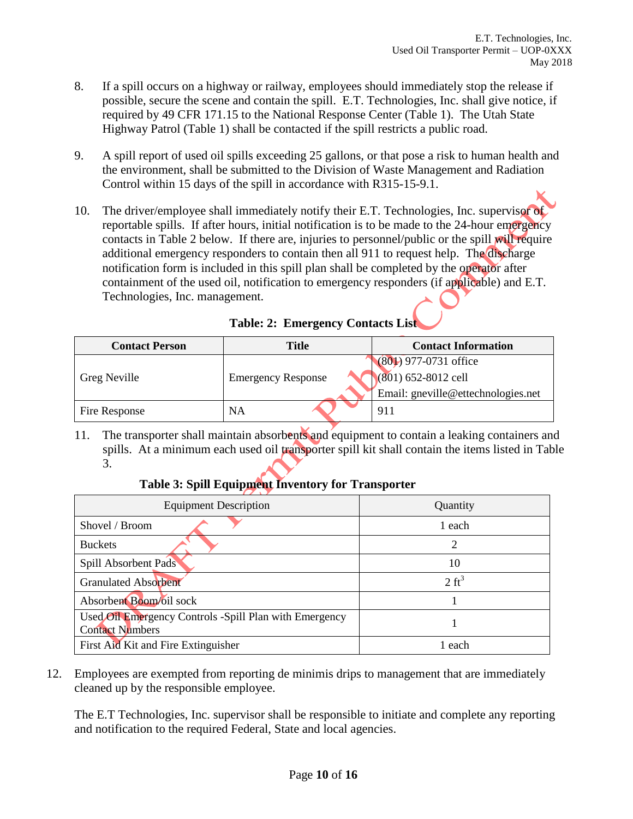- 8. If a spill occurs on a highway or railway, employees should immediately stop the release if possible, secure the scene and contain the spill. E.T. Technologies, Inc. shall give notice, if required by 49 CFR 171.15 to the National Response Center (Table 1). The Utah State Highway Patrol (Table 1) shall be contacted if the spill restricts a public road.
- 9. A spill report of used oil spills exceeding 25 gallons, or that pose a risk to human health and the environment, shall be submitted to the Division of Waste Management and Radiation Control within 15 days of the spill in accordance with R315-15-9.1.
- 10. The driver/employee shall immediately notify their E.T. Technologies, Inc. supervisor of reportable spills. If after hours, initial notification is to be made to the 24-hour emergency contacts in Table 2 below. If there are, injuries to personnel/public or the spill will require additional emergency responders to contain then all 911 to request help. The discharge notification form is included in this spill plan shall be completed by the operator after containment of the used oil, notification to emergency responders (if applicable) and E.T. Technologies, Inc. management.

| <b>Contact Person</b> | Title                     | <b>Contact Information</b>         |  |
|-----------------------|---------------------------|------------------------------------|--|
|                       |                           | $(801)$ 977-0731 office            |  |
| Greg Neville          | <b>Emergency Response</b> | $(801)$ 652-8012 cell              |  |
|                       |                           | Email: gneville@ettechnologies.net |  |
| Fire Response         | <b>NA</b>                 | 911                                |  |

|  |  | <b>Table: 2: Emergency Contacts List</b> |  |
|--|--|------------------------------------------|--|
|--|--|------------------------------------------|--|

11. The transporter shall maintain absorbents and equipment to contain a leaking containers and spills. At a minimum each used oil transporter spill kit shall contain the items listed in Table 3.

## **Table 3: Spill Equipment Inventory for Transporter**

| <b>Equipment Description</b>                                                     | Quantity         |  |
|----------------------------------------------------------------------------------|------------------|--|
| Shovel / Broom                                                                   | 1 each           |  |
| <b>Buckets</b>                                                                   | ∍                |  |
| Spill Absorbent Pads                                                             | 10               |  |
| <b>Granulated Absorbent</b>                                                      | $2 \text{ ft}^3$ |  |
| Absorbent Boom/oil sock                                                          |                  |  |
| Used Oil Emergency Controls -Spill Plan with Emergency<br><b>Contact Numbers</b> |                  |  |
| First Aid Kit and Fire Extinguisher                                              | 1 each           |  |

12. Employees are exempted from reporting de minimis drips to management that are immediately cleaned up by the responsible employee.

The E.T Technologies, Inc. supervisor shall be responsible to initiate and complete any reporting and notification to the required Federal, State and local agencies.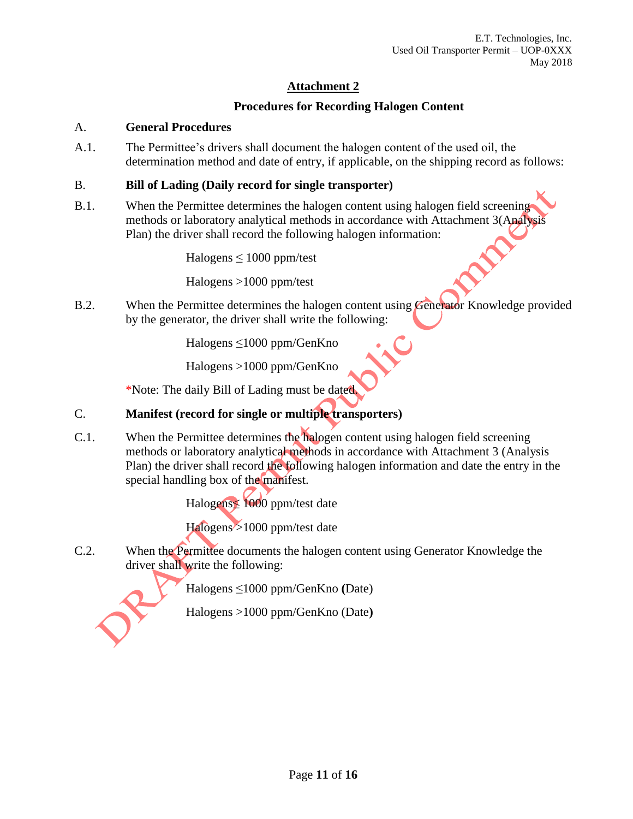# **Procedures for Recording Halogen Content**

## A. **General Procedures**

A.1. The Permittee's drivers shall document the halogen content of the used oil, the determination method and date of entry, if applicable, on the shipping record as follows:

## B. **Bill of Lading (Daily record for single transporter)**

B.1. When the Permittee determines the halogen content using halogen field screening methods or laboratory analytical methods in accordance with Attachment 3(Analysis Plan) the driver shall record the following halogen information:

Halogens  $\leq 1000$  ppm/test

Halogens >1000 ppm/test

B.2. When the Permittee determines the halogen content using Generator Knowledge provided by the generator, the driver shall write the following:

Halogens ≤1000 ppm/GenKno

Halogens >1000 ppm/GenKno

\*Note: The daily Bill of Lading must be dated.

# C. **Manifest (record for single or multiple transporters)**

C.1. When the Permittee determines the halogen content using halogen field screening methods or laboratory analytical methods in accordance with Attachment 3 (Analysis Plan) the driver shall record the following halogen information and date the entry in the special handling box of the manifest.

Halogens≤ 1000 ppm/test date

Halogens >1000 ppm/test date

C.2. When the Permittee documents the halogen content using Generator Knowledge the driver shall write the following:

Halogens ≤1000 ppm/GenKno **(**Date)

Halogens >1000 ppm/GenKno (Date**)**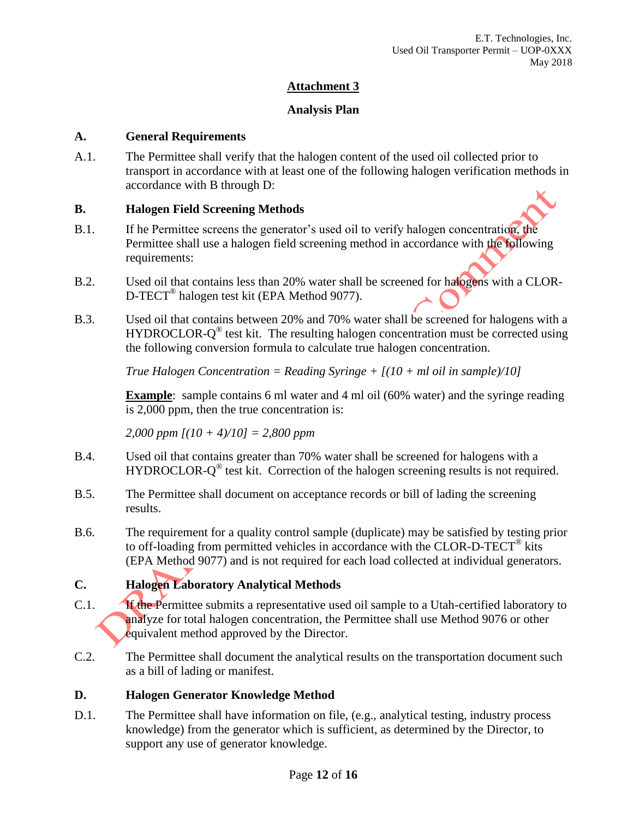## **Analysis Plan**

#### **A. General Requirements**

A.1. The Permittee shall verify that the halogen content of the used oil collected prior to transport in accordance with at least one of the following halogen verification methods in accordance with B through D:

## **B. Halogen Field Screening Methods**

- B.1. If he Permittee screens the generator's used oil to verify halogen concentration, the Permittee shall use a halogen field screening method in accordance with the following requirements:
- B.2. Used oil that contains less than 20% water shall be screened for halogens with a CLOR-D-TECT<sup>®</sup> halogen test kit (EPA Method 9077).
- B.3. Used oil that contains between 20% and 70% water shall be screened for halogens with a HYDROCLOR- $Q^{\circledast}$  test kit. The resulting halogen concentration must be corrected using the following conversion formula to calculate true halogen concentration.

*True Halogen Concentration = Reading Syringe + [(10 + ml oil in sample)/10]*

**Example**: sample contains 6 ml water and 4 ml oil (60% water) and the syringe reading is 2,000 ppm, then the true concentration is:

*2,000 ppm [(10 + 4)/10] = 2,800 ppm*

- B.4. Used oil that contains greater than 70% water shall be screened for halogens with a HYDROCLOR-Q<sup>®</sup> test kit. Correction of the halogen screening results is not required.
- B.5. The Permittee shall document on acceptance records or bill of lading the screening results.
- B.6. The requirement for a quality control sample (duplicate) may be satisfied by testing prior to off-loading from permitted vehicles in accordance with the CLOR-D-TECT® kits (EPA Method 9077) and is not required for each load collected at individual generators.

# **C. Halogen Laboratory Analytical Methods**

- C.1. **If the Permittee submits a representative used oil sample to a Utah-certified laboratory to** analyze for total halogen concentration, the Permittee shall use Method 9076 or other equivalent method approved by the Director.
- C.2. The Permittee shall document the analytical results on the transportation document such as a bill of lading or manifest.

## **D. Halogen Generator Knowledge Method**

D.1. The Permittee shall have information on file, (e.g., analytical testing, industry process knowledge) from the generator which is sufficient, as determined by the Director, to support any use of generator knowledge.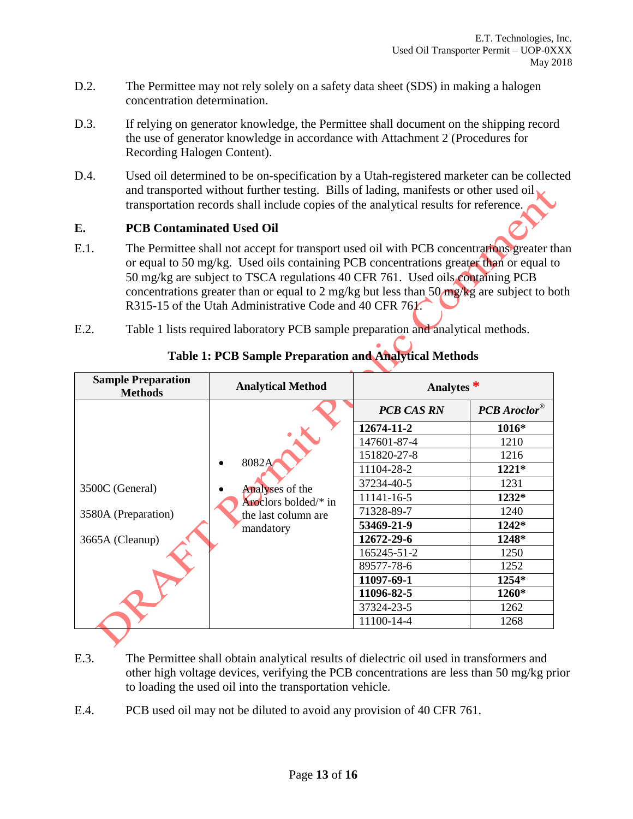- D.2. The Permittee may not rely solely on a safety data sheet (SDS) in making a halogen concentration determination.
- D.3. If relying on generator knowledge, the Permittee shall document on the shipping record the use of generator knowledge in accordance with Attachment 2 (Procedures for Recording Halogen Content).
- D.4. Used oil determined to be on-specification by a Utah-registered marketer can be collected and transported without further testing. Bills of lading, manifests or other used oil transportation records shall include copies of the analytical results for reference.

## **E. PCB Contaminated Used Oil**

- E.1. The Permittee shall not accept for transport used oil with PCB concentrations greater than or equal to 50 mg/kg. Used oils containing PCB concentrations greater than or equal to 50 mg/kg are subject to TSCA regulations 40 CFR 761. Used oils containing PCB concentrations greater than or equal to 2 mg/kg but less than 50 mg/kg are subject to both R315-15 of the Utah Administrative Code and 40 CFR 761.
- E.2. Table 1 lists required laboratory PCB sample preparation and analytical methods.

| <b>Sample Preparation</b><br><b>Methods</b> | <b>Analytical Method</b>                                                | Analytes $*$      |                     |
|---------------------------------------------|-------------------------------------------------------------------------|-------------------|---------------------|
|                                             | 8082A<br>Analyses of the<br>Aroclors bolded/* in<br>the last column are | <b>PCB CAS RN</b> | <b>PCB</b> Aroclor® |
|                                             |                                                                         | 12674-11-2        | $1016*$             |
|                                             |                                                                         | 147601-87-4       | 1210                |
|                                             |                                                                         | 151820-27-8       | 1216                |
|                                             |                                                                         | 11104-28-2        | 1221*               |
| 3500C (General)                             |                                                                         | 37234-40-5        | 1231                |
|                                             |                                                                         | 11141-16-5        | 1232*               |
| 3580A (Preparation)                         |                                                                         | 71328-89-7        | 1240                |
|                                             | mandatory                                                               | 53469-21-9        | $1242*$             |
| 3665A (Cleanup)                             |                                                                         | 12672-29-6        | 1248*               |
|                                             |                                                                         | 165245-51-2       | 1250                |
|                                             |                                                                         | 89577-78-6        | 1252                |
|                                             |                                                                         | 11097-69-1        | 1254*               |
|                                             |                                                                         | 11096-82-5        | 1260*               |
|                                             |                                                                         | 37324-23-5        | 1262                |
|                                             |                                                                         | 11100-14-4        | 1268                |

# **Table 1: PCB Sample Preparation and Analytical Methods**

- E.3. The Permittee shall obtain analytical results of dielectric oil used in transformers and other high voltage devices, verifying the PCB concentrations are less than 50 mg/kg prior to loading the used oil into the transportation vehicle.
- E.4. PCB used oil may not be diluted to avoid any provision of 40 CFR 761.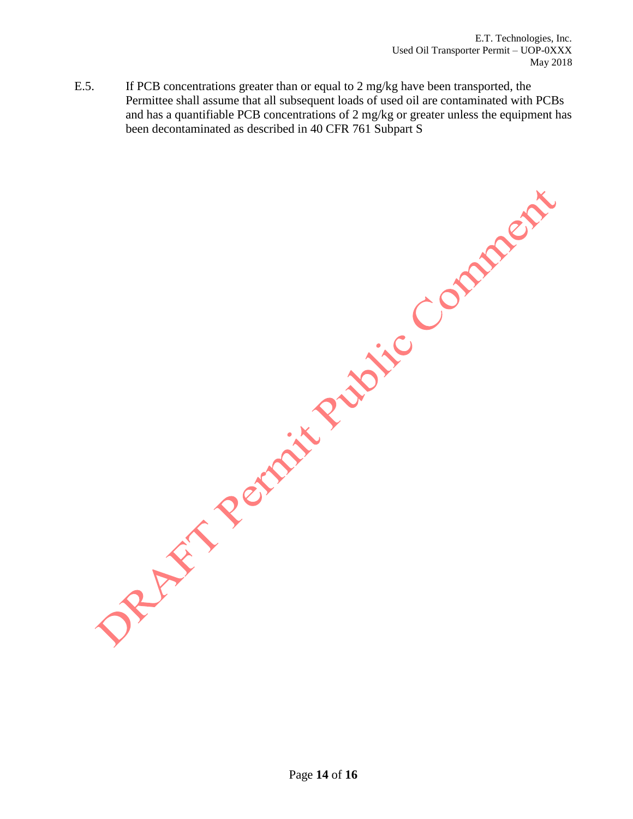E.5. If PCB concentrations greater than or equal to 2 mg/kg have been transported, the Permittee shall assume that all subsequent loads of used oil are contaminated with PCBs and has a quantifiable PCB concentrations of 2 mg/kg or greater unless the equipment has been decontaminated as described in 40 CFR 761 Subpart S

DREAM Rental Public Comment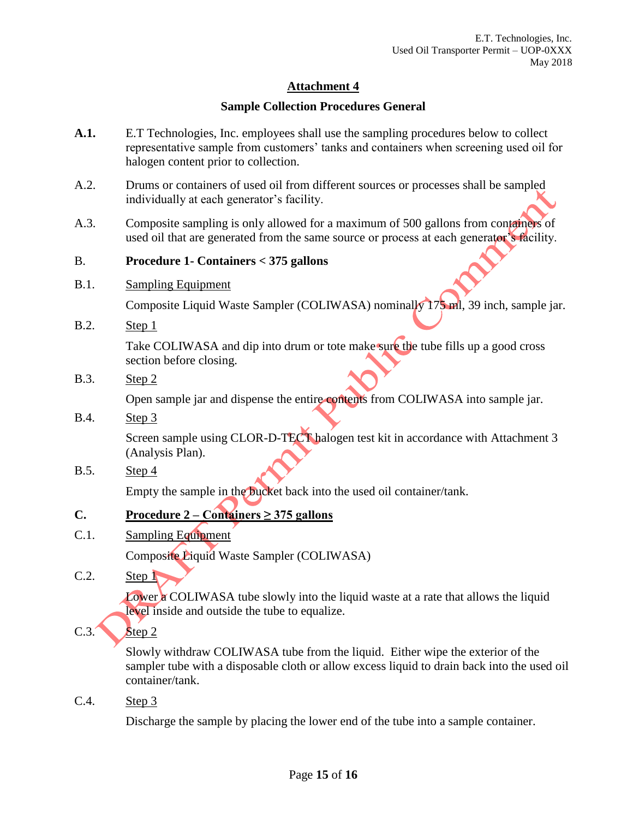## **Sample Collection Procedures General**

- **A.1.** E.T Technologies, Inc. employees shall use the sampling procedures below to collect representative sample from customers' tanks and containers when screening used oil for halogen content prior to collection.
- A.2. Drums or containers of used oil from different sources or processes shall be sampled individually at each generator's facility.
- A.3. Composite sampling is only allowed for a maximum of 500 gallons from containers of used oil that are generated from the same source or process at each generator's facility.

#### B. **Procedure 1- Containers < 375 gallons**

B.1. Sampling Equipment

Composite Liquid Waste Sampler (COLIWASA) nominally 175 ml, 39 inch, sample jar.

B.2. Step 1

Take COLIWASA and dip into drum or tote make sure the tube fills up a good cross section before closing.

B.3. Step 2

Open sample jar and dispense the entire contents from COLIWASA into sample jar.

B.4. Step 3

Screen sample using CLOR-D-TECT halogen test kit in accordance with Attachment 3 (Analysis Plan).

B.5. Step 4

Empty the sample in the bucket back into the used oil container/tank.

# **C. Procedure 2 – Containers ≥ 375 gallons**

- C.1. Sampling Equipment Composite Liquid Waste Sampler (COLIWASA)
- $C.2.$  Step  $\Gamma$

Lower a COLIWASA tube slowly into the liquid waste at a rate that allows the liquid level inside and outside the tube to equalize.

 $C.3.$  Step 2

Slowly withdraw COLIWASA tube from the liquid. Either wipe the exterior of the sampler tube with a disposable cloth or allow excess liquid to drain back into the used oil container/tank.

C.4. Step 3

Discharge the sample by placing the lower end of the tube into a sample container.